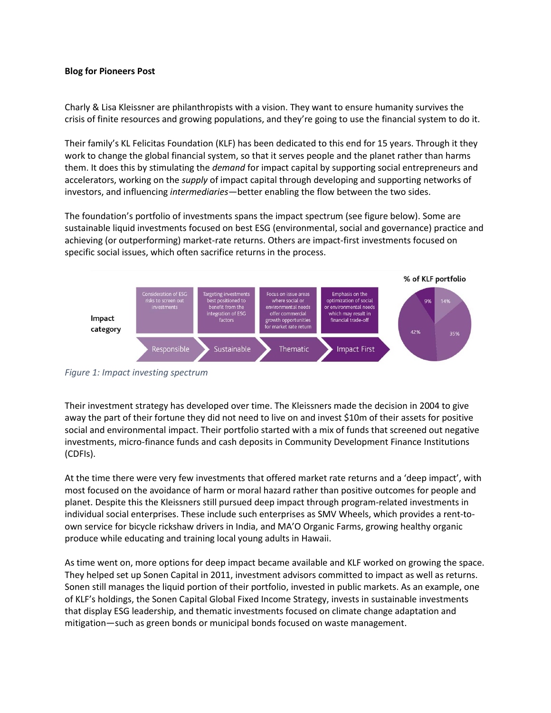## **Blog for Pioneers Post**

Charly & Lisa Kleissner are philanthropists with a vision. They want to ensure humanity survives the crisis of finite resources and growing populations, and they're going to use the financial system to do it.

Their family's KL Felicitas Foundation (KLF) has been dedicated to this end for 15 years. Through it they work to change the global financial system, so that it serves people and the planet rather than harms them. It does this by stimulating the *demand* for impact capital by supporting social entrepreneurs and accelerators, working on the *supply* of impact capital through developing and supporting networks of investors, and influencing *intermediaries*—better enabling the flow between the two sides.

The foundation's portfolio of investments spans the impact spectrum (see figure below). Some are sustainable liquid investments focused on best ESG (environmental, social and governance) practice and achieving (or outperforming) market-rate returns. Others are impact-first investments focused on specific social issues, which often sacrifice returns in the process.



*Figure 1: Impact investing spectrum*

Their investment strategy has developed over time. The Kleissners made the decision in 2004 to give away the part of their fortune they did not need to live on and invest \$10m of their assets for positive social and environmental impact. Their portfolio started with a mix of funds that screened out negative investments, micro-finance funds and cash deposits in Community Development Finance Institutions (CDFIs).

At the time there were very few investments that offered market rate returns and a 'deep impact', with most focused on the avoidance of harm or moral hazard rather than positive outcomes for people and planet. Despite this the Kleissners still pursued deep impact through program-related investments in individual social enterprises. These include such enterprises as SMV Wheels, which provides a rent-toown service for bicycle rickshaw drivers in India, and MA'O Organic Farms, growing healthy organic produce while educating and training local young adults in Hawaii.

As time went on, more options for deep impact became available and KLF worked on growing the space. They helped set up Sonen Capital in 2011, investment advisors committed to impact as well as returns. Sonen still manages the liquid portion of their portfolio, invested in public markets. As an example, one of KLF's holdings, the Sonen Capital Global Fixed Income Strategy, invests in sustainable investments that display ESG leadership, and thematic investments focused on climate change adaptation and mitigation—such as green bonds or municipal bonds focused on waste management.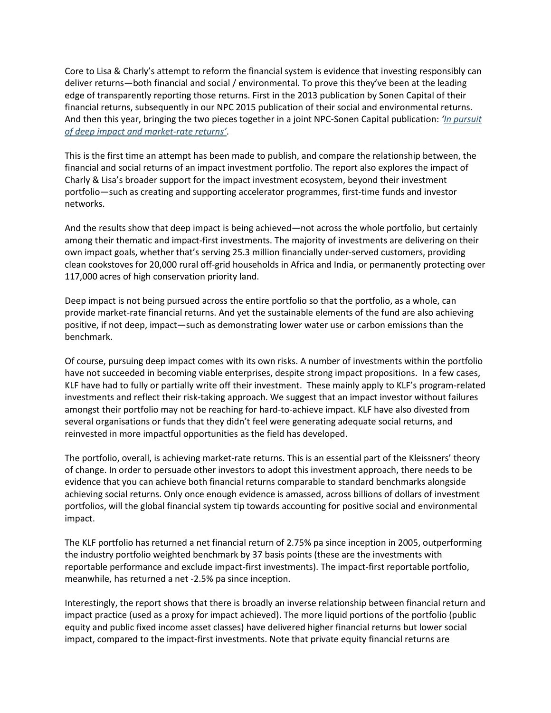Core to Lisa & Charly's attempt to reform the financial system is evidence that investing responsibly can deliver returns—both financial and social / environmental. To prove this they've been at the leading edge of transparently reporting those returns. First in the 2013 publication by Sonen Capital of their financial returns, subsequently in our NPC 2015 publication of their social and environmental returns. And then this year, bringing the two pieces together in a joint NPC-Sonen Capital publication: *'[In pursuit](https://www.thinknpc.org/publications/in-pursuit-of-deep-impact/)  [of deep impact and market-](https://www.thinknpc.org/publications/in-pursuit-of-deep-impact/)rate returns'*.

This is the first time an attempt has been made to publish, and compare the relationship between, the financial and social returns of an impact investment portfolio. The report also explores the impact of Charly & Lisa's broader support for the impact investment ecosystem, beyond their investment portfolio—such as creating and supporting accelerator programmes, first-time funds and investor networks.

And the results show that deep impact is being achieved—not across the whole portfolio, but certainly among their thematic and impact-first investments. The majority of investments are delivering on their own impact goals, whether that's serving 25.3 million financially under-served customers, providing clean cookstoves for 20,000 rural off-grid households in Africa and India, or permanently protecting over 117,000 acres of high conservation priority land.

Deep impact is not being pursued across the entire portfolio so that the portfolio, as a whole, can provide market-rate financial returns. And yet the sustainable elements of the fund are also achieving positive, if not deep, impact—such as demonstrating lower water use or carbon emissions than the benchmark.

Of course, pursuing deep impact comes with its own risks. A number of investments within the portfolio have not succeeded in becoming viable enterprises, despite strong impact propositions. In a few cases, KLF have had to fully or partially write off their investment. These mainly apply to KLF's program-related investments and reflect their risk-taking approach. We suggest that an impact investor without failures amongst their portfolio may not be reaching for hard-to-achieve impact. KLF have also divested from several organisations or funds that they didn't feel were generating adequate social returns, and reinvested in more impactful opportunities as the field has developed.

The portfolio, overall, is achieving market-rate returns. This is an essential part of the Kleissners' theory of change. In order to persuade other investors to adopt this investment approach, there needs to be evidence that you can achieve both financial returns comparable to standard benchmarks alongside achieving social returns. Only once enough evidence is amassed, across billions of dollars of investment portfolios, will the global financial system tip towards accounting for positive social and environmental impact.

The KLF portfolio has returned a net financial return of 2.75% pa since inception in 2005, outperforming the industry portfolio weighted benchmark by 37 basis points (these are the investments with reportable performance and exclude impact-first investments). The impact-first reportable portfolio, meanwhile, has returned a net -2.5% pa since inception.

Interestingly, the report shows that there is broadly an inverse relationship between financial return and impact practice (used as a proxy for impact achieved). The more liquid portions of the portfolio (public equity and public fixed income asset classes) have delivered higher financial returns but lower social impact, compared to the impact-first investments. Note that private equity financial returns are